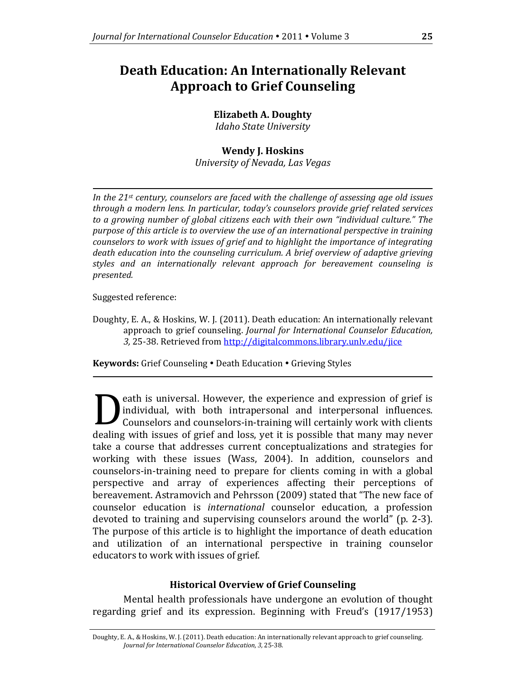# **Death Education: An Internationally Relevant Approach to Grief Counseling**

# **Elizabeth A. Doughty**

*Idaho State University*

# **Wendy J. Hoskins**

*University of Nevada, Las Vegas*

*In the 21st century, counselors are faced with the challenge of assessing age old issues through a modern lens. In particular, today's counselors provide grief related services to a growing number of global citizens each with their own "individual culture." The purpose of this article is to overview the use of an international perspective in training counselors to work with issues of grief and to highlight the importance of integrating death education into the counseling curriculum. A brief overview of adaptive grieving styles and an internationally relevant approach for bereavement counseling is presented.*

Suggested reference:

Doughty, E. A., & Hoskins, W. J. (2011). Death education: An internationally relevant approach to grief counseling. *Journal for International Counselor Education, 3,* 25-38. Retrieved fro[m http://digitalcommons.library.unlv.edu/jice](http://digitalcommons.library.unlv.edu/jice)

Keywords: Grief Counseling . Death Education . Grieving Styles

eath is universal. However, the experience and expression of grief is individual, with both intrapersonal and interpersonal influences. Counselors and counselors-in-training will certainly work with clients dealing with intrapersonal and interpersonal influences.<br>Counselors and counselors-in-training will certainly work with clients<br>dealing with issues of grief and loss, yet it is possible that many may never take a course that addresses current conceptualizations and strategies for working with these issues (Wass, 2004). In addition, counselors and counselors-in-training need to prepare for clients coming in with a global perspective and array of experiences affecting their perceptions of bereavement. Astramovich and Pehrsson (2009) stated that "The new face of counselor education is *international* counselor education, a profession devoted to training and supervising counselors around the world" (p. 2-3). The purpose of this article is to highlight the importance of death education and utilization of an international perspective in training counselor educators to work with issues of grief.

# **Historical Overview of Grief Counseling**

Mental health professionals have undergone an evolution of thought regarding grief and its expression. Beginning with Freud's (1917/1953)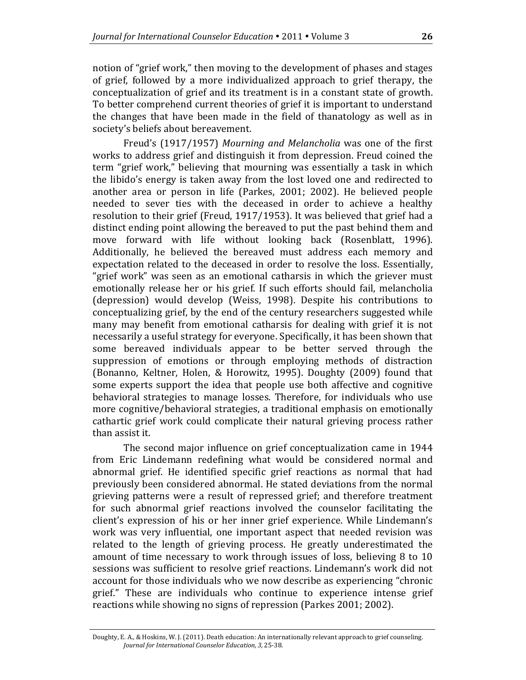notion of "grief work," then moving to the development of phases and stages of grief, followed by a more individualized approach to grief therapy, the conceptualization of grief and its treatment is in a constant state of growth. To better comprehend current theories of grief it is important to understand the changes that have been made in the field of thanatology as well as in society's beliefs about bereavement.

Freud's (1917/1957) *Mourning and Melancholia* was one of the first works to address grief and distinguish it from depression. Freud coined the term "grief work," believing that mourning was essentially a task in which the libido's energy is taken away from the lost loved one and redirected to another area or person in life (Parkes, 2001; 2002). He believed people needed to sever ties with the deceased in order to achieve a healthy resolution to their grief (Freud, 1917/1953). It was believed that grief had a distinct ending point allowing the bereaved to put the past behind them and move forward with life without looking back (Rosenblatt, 1996). Additionally, he believed the bereaved must address each memory and expectation related to the deceased in order to resolve the loss. Essentially, "grief work" was seen as an emotional catharsis in which the griever must emotionally release her or his grief. If such efforts should fail, melancholia (depression) would develop (Weiss, 1998). Despite his contributions to conceptualizing grief, by the end of the century researchers suggested while many may benefit from emotional catharsis for dealing with grief it is not necessarily a useful strategy for everyone. Specifically, it has been shown that some bereaved individuals appear to be better served through the suppression of emotions or through employing methods of distraction (Bonanno, Keltner, Holen, & Horowitz, 1995). Doughty (2009) found that some experts support the idea that people use both affective and cognitive behavioral strategies to manage losses. Therefore, for individuals who use more cognitive/behavioral strategies, a traditional emphasis on emotionally cathartic grief work could complicate their natural grieving process rather than assist it.

The second major influence on grief conceptualization came in 1944 from Eric Lindemann redefining what would be considered normal and abnormal grief. He identified specific grief reactions as normal that had previously been considered abnormal. He stated deviations from the normal grieving patterns were a result of repressed grief; and therefore treatment for such abnormal grief reactions involved the counselor facilitating the client's expression of his or her inner grief experience. While Lindemann's work was very influential, one important aspect that needed revision was related to the length of grieving process. He greatly underestimated the amount of time necessary to work through issues of loss, believing 8 to 10 sessions was sufficient to resolve grief reactions. Lindemann's work did not account for those individuals who we now describe as experiencing "chronic grief." These are individuals who continue to experience intense grief reactions while showing no signs of repression (Parkes 2001; 2002).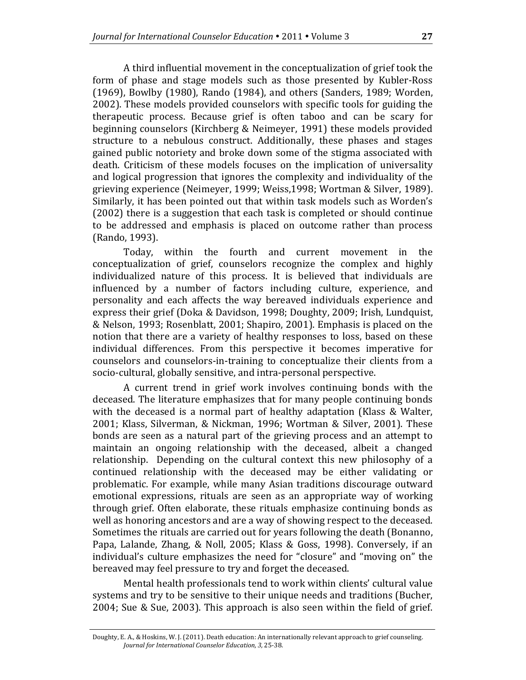A third influential movement in the conceptualization of grief took the form of phase and stage models such as those presented by Kubler-Ross (1969), Bowlby (1980), Rando (1984), and others (Sanders, 1989; Worden, 2002). These models provided counselors with specific tools for guiding the therapeutic process. Because grief is often taboo and can be scary for beginning counselors (Kirchberg & Neimeyer, 1991) these models provided structure to a nebulous construct. Additionally, these phases and stages gained public notoriety and broke down some of the stigma associated with death. Criticism of these models focuses on the implication of universality and logical progression that ignores the complexity and individuality of the grieving experience (Neimeyer, 1999; Weiss,1998; Wortman & Silver, 1989). Similarly, it has been pointed out that within task models such as Worden's (2002) there is a suggestion that each task is completed or should continue to be addressed and emphasis is placed on outcome rather than process (Rando, 1993).

Today, within the fourth and current movement in the conceptualization of grief, counselors recognize the complex and highly individualized nature of this process. It is believed that individuals are influenced by a number of factors including culture, experience, and personality and each affects the way bereaved individuals experience and express their grief (Doka & Davidson, 1998; Doughty, 2009; Irish, Lundquist, & Nelson, 1993; Rosenblatt, 2001; Shapiro, 2001). Emphasis is placed on the notion that there are a variety of healthy responses to loss, based on these individual differences. From this perspective it becomes imperative for counselors and counselors-in-training to conceptualize their clients from a socio-cultural, globally sensitive, and intra-personal perspective.

A current trend in grief work involves continuing bonds with the deceased. The literature emphasizes that for many people continuing bonds with the deceased is a normal part of healthy adaptation (Klass & Walter, 2001; Klass, Silverman, & Nickman, 1996; Wortman & Silver, 2001). These bonds are seen as a natural part of the grieving process and an attempt to maintain an ongoing relationship with the deceased, albeit a changed relationship. Depending on the cultural context this new philosophy of a continued relationship with the deceased may be either validating or problematic. For example, while many Asian traditions discourage outward emotional expressions, rituals are seen as an appropriate way of working through grief. Often elaborate, these rituals emphasize continuing bonds as well as honoring ancestors and are a way of showing respect to the deceased. Sometimes the rituals are carried out for years following the death (Bonanno, Papa, Lalande, Zhang, & Noll, 2005; Klass & Goss, 1998). Conversely, if an individual's culture emphasizes the need for "closure" and "moving on" the bereaved may feel pressure to try and forget the deceased.

Mental health professionals tend to work within clients' cultural value systems and try to be sensitive to their unique needs and traditions (Bucher, 2004; Sue & Sue, 2003). This approach is also seen within the field of grief.

Doughty, E. A., & Hoskins, W. J. (2011). Death education: An internationally relevant approach to grief counseling. *Journal for International Counselor Education, 3,* 25-38.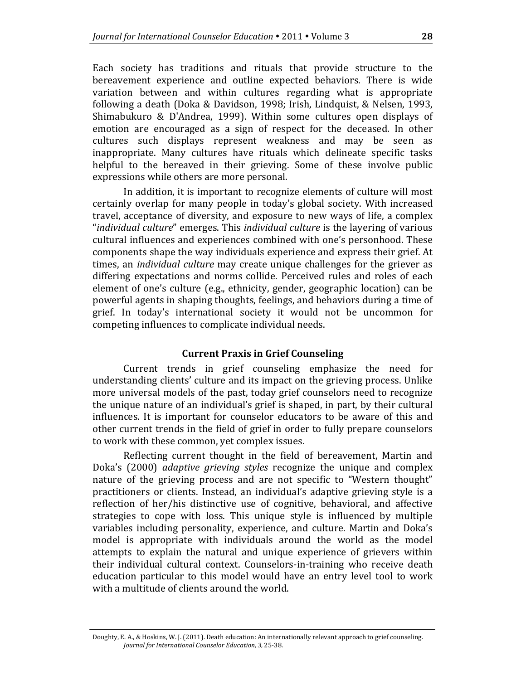Each society has traditions and rituals that provide structure to the bereavement experience and outline expected behaviors. There is wide variation between and within cultures regarding what is appropriate following a death (Doka & Davidson, 1998; Irish, Lindquist, & Nelsen, 1993, Shimabukuro & D'Andrea, 1999). Within some cultures open displays of emotion are encouraged as a sign of respect for the deceased. In other cultures such displays represent weakness and may be seen as inappropriate. Many cultures have rituals which delineate specific tasks helpful to the bereaved in their grieving. Some of these involve public expressions while others are more personal.

In addition, it is important to recognize elements of culture will most certainly overlap for many people in today's global society. With increased travel, acceptance of diversity, and exposure to new ways of life, a complex "*individual culture*" emerges. This *individual culture* is the layering of various cultural influences and experiences combined with one's personhood. These components shape the way individuals experience and express their grief. At times, an *individual culture* may create unique challenges for the griever as differing expectations and norms collide. Perceived rules and roles of each element of one's culture (e.g., ethnicity, gender, geographic location) can be powerful agents in shaping thoughts, feelings, and behaviors during a time of grief. In today's international society it would not be uncommon for competing influences to complicate individual needs.

## **Current Praxis in Grief Counseling**

Current trends in grief counseling emphasize the need for understanding clients' culture and its impact on the grieving process. Unlike more universal models of the past, today grief counselors need to recognize the unique nature of an individual's grief is shaped, in part, by their cultural influences. It is important for counselor educators to be aware of this and other current trends in the field of grief in order to fully prepare counselors to work with these common, yet complex issues.

Reflecting current thought in the field of bereavement, Martin and Doka's (2000) *adaptive grieving styles* recognize the unique and complex nature of the grieving process and are not specific to "Western thought" practitioners or clients. Instead, an individual's adaptive grieving style is a reflection of her/his distinctive use of cognitive, behavioral, and affective strategies to cope with loss. This unique style is influenced by multiple variables including personality, experience, and culture. Martin and Doka's model is appropriate with individuals around the world as the model attempts to explain the natural and unique experience of grievers within their individual cultural context. Counselors-in-training who receive death education particular to this model would have an entry level tool to work with a multitude of clients around the world.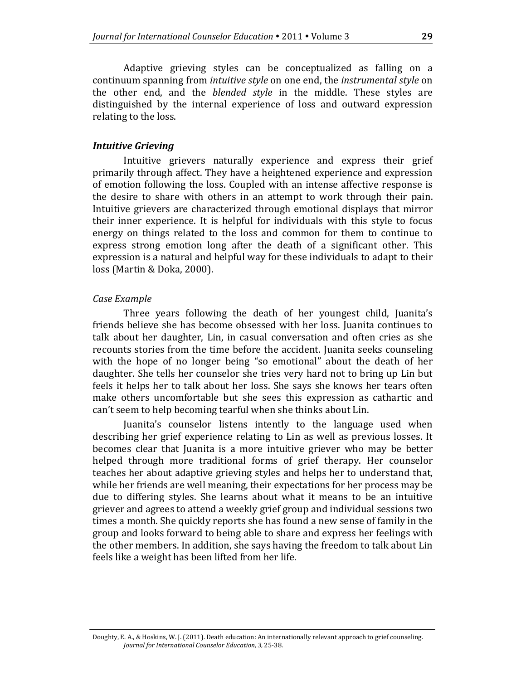Adaptive grieving styles can be conceptualized as falling on a continuum spanning from *intuitive style* on one end, the *instrumental style* on the other end, and the *blended style* in the middle. These styles are distinguished by the internal experience of loss and outward expression relating to the loss.

#### *Intuitive Grieving*

Intuitive grievers naturally experience and express their grief primarily through affect. They have a heightened experience and expression of emotion following the loss. Coupled with an intense affective response is the desire to share with others in an attempt to work through their pain. Intuitive grievers are characterized through emotional displays that mirror their inner experience. It is helpful for individuals with this style to focus energy on things related to the loss and common for them to continue to express strong emotion long after the death of a significant other. This expression is a natural and helpful way for these individuals to adapt to their loss (Martin & Doka, 2000).

## *Case Example*

Three years following the death of her youngest child, Juanita's friends believe she has become obsessed with her loss. Juanita continues to talk about her daughter, Lin, in casual conversation and often cries as she recounts stories from the time before the accident. Juanita seeks counseling with the hope of no longer being "so emotional" about the death of her daughter. She tells her counselor she tries very hard not to bring up Lin but feels it helps her to talk about her loss. She says she knows her tears often make others uncomfortable but she sees this expression as cathartic and can't seem to help becoming tearful when she thinks about Lin.

Juanita's counselor listens intently to the language used when describing her grief experience relating to Lin as well as previous losses. It becomes clear that Juanita is a more intuitive griever who may be better helped through more traditional forms of grief therapy. Her counselor teaches her about adaptive grieving styles and helps her to understand that, while her friends are well meaning, their expectations for her process may be due to differing styles. She learns about what it means to be an intuitive griever and agrees to attend a weekly grief group and individual sessions two times a month. She quickly reports she has found a new sense of family in the group and looks forward to being able to share and express her feelings with the other members. In addition, she says having the freedom to talk about Lin feels like a weight has been lifted from her life.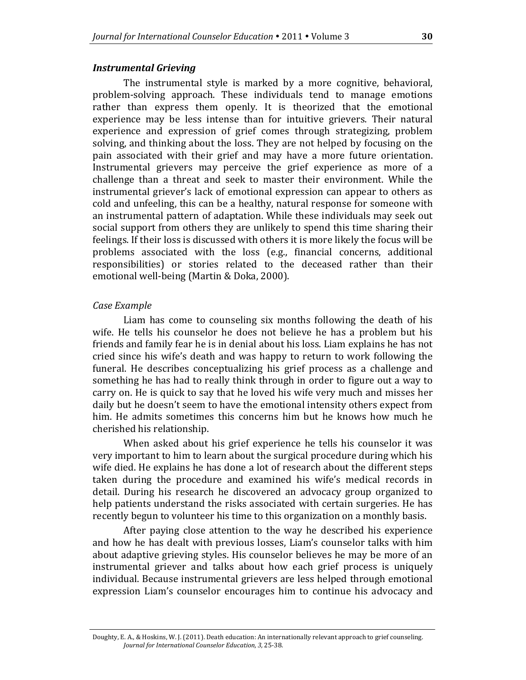#### *Instrumental Grieving*

The instrumental style is marked by a more cognitive, behavioral, problem-solving approach. These individuals tend to manage emotions rather than express them openly. It is theorized that the emotional experience may be less intense than for intuitive grievers. Their natural experience and expression of grief comes through strategizing, problem solving, and thinking about the loss. They are not helped by focusing on the pain associated with their grief and may have a more future orientation. Instrumental grievers may perceive the grief experience as more of a challenge than a threat and seek to master their environment. While the instrumental griever's lack of emotional expression can appear to others as cold and unfeeling, this can be a healthy, natural response for someone with an instrumental pattern of adaptation. While these individuals may seek out social support from others they are unlikely to spend this time sharing their feelings. If their loss is discussed with others it is more likely the focus will be problems associated with the loss (e.g., financial concerns, additional responsibilities) or stories related to the deceased rather than their emotional well-being (Martin & Doka, 2000).

#### *Case Example*

Liam has come to counseling six months following the death of his wife. He tells his counselor he does not believe he has a problem but his friends and family fear he is in denial about his loss. Liam explains he has not cried since his wife's death and was happy to return to work following the funeral. He describes conceptualizing his grief process as a challenge and something he has had to really think through in order to figure out a way to carry on. He is quick to say that he loved his wife very much and misses her daily but he doesn't seem to have the emotional intensity others expect from him. He admits sometimes this concerns him but he knows how much he cherished his relationship.

When asked about his grief experience he tells his counselor it was very important to him to learn about the surgical procedure during which his wife died. He explains he has done a lot of research about the different steps taken during the procedure and examined his wife's medical records in detail. During his research he discovered an advocacy group organized to help patients understand the risks associated with certain surgeries. He has recently begun to volunteer his time to this organization on a monthly basis.

After paying close attention to the way he described his experience and how he has dealt with previous losses, Liam's counselor talks with him about adaptive grieving styles. His counselor believes he may be more of an instrumental griever and talks about how each grief process is uniquely individual. Because instrumental grievers are less helped through emotional expression Liam's counselor encourages him to continue his advocacy and

Doughty, E. A., & Hoskins, W. J. (2011). Death education: An internationally relevant approach to grief counseling. *Journal for International Counselor Education, 3,* 25-38.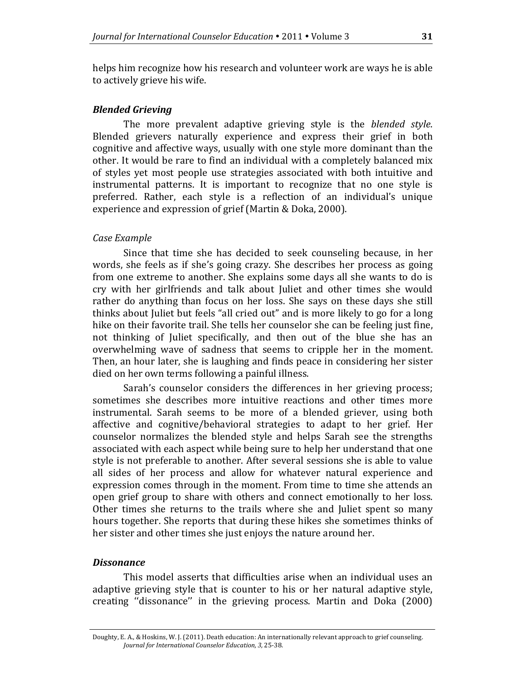helps him recognize how his research and volunteer work are ways he is able to actively grieve his wife.

## *Blended Grieving*

The more prevalent adaptive grieving style is the *blended style*. Blended grievers naturally experience and express their grief in both cognitive and affective ways, usually with one style more dominant than the other. It would be rare to find an individual with a completely balanced mix of styles yet most people use strategies associated with both intuitive and instrumental patterns. It is important to recognize that no one style is preferred. Rather, each style is a reflection of an individual's unique experience and expression of grief (Martin & Doka, 2000).

## *Case Example*

Since that time she has decided to seek counseling because, in her words, she feels as if she's going crazy. She describes her process as going from one extreme to another. She explains some days all she wants to do is cry with her girlfriends and talk about Juliet and other times she would rather do anything than focus on her loss. She says on these days she still thinks about Juliet but feels "all cried out" and is more likely to go for a long hike on their favorite trail. She tells her counselor she can be feeling just fine, not thinking of Juliet specifically, and then out of the blue she has an overwhelming wave of sadness that seems to cripple her in the moment. Then, an hour later, she is laughing and finds peace in considering her sister died on her own terms following a painful illness.

Sarah's counselor considers the differences in her grieving process; sometimes she describes more intuitive reactions and other times more instrumental. Sarah seems to be more of a blended griever, using both affective and cognitive/behavioral strategies to adapt to her grief. Her counselor normalizes the blended style and helps Sarah see the strengths associated with each aspect while being sure to help her understand that one style is not preferable to another. After several sessions she is able to value all sides of her process and allow for whatever natural experience and expression comes through in the moment. From time to time she attends an open grief group to share with others and connect emotionally to her loss. Other times she returns to the trails where she and Juliet spent so many hours together. She reports that during these hikes she sometimes thinks of her sister and other times she just enjoys the nature around her.

#### *Dissonance*

This model asserts that difficulties arise when an individual uses an adaptive grieving style that is counter to his or her natural adaptive style, creating ''dissonance'' in the grieving process. Martin and Doka (2000)

Doughty, E. A., & Hoskins, W. J. (2011). Death education: An internationally relevant approach to grief counseling. *Journal for International Counselor Education, 3,* 25-38.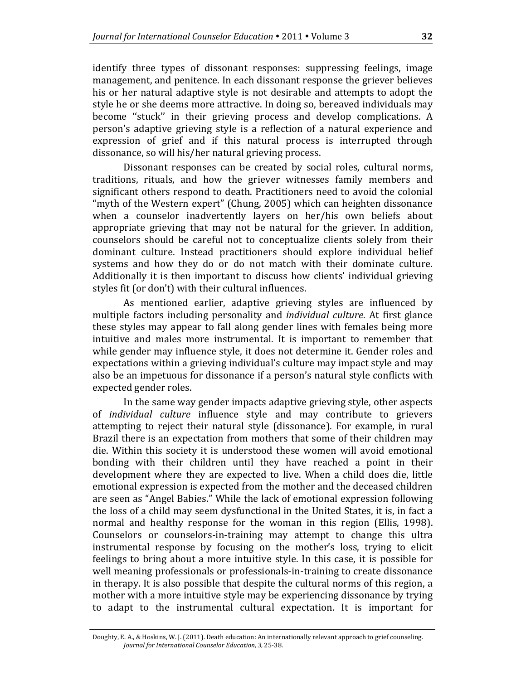identify three types of dissonant responses: suppressing feelings, image management, and penitence. In each dissonant response the griever believes his or her natural adaptive style is not desirable and attempts to adopt the style he or she deems more attractive. In doing so, bereaved individuals may become ''stuck'' in their grieving process and develop complications. A person's adaptive grieving style is a reflection of a natural experience and expression of grief and if this natural process is interrupted through dissonance, so will his/her natural grieving process.

Dissonant responses can be created by social roles, cultural norms, traditions, rituals, and how the griever witnesses family members and significant others respond to death. Practitioners need to avoid the colonial "myth of the Western expert" (Chung, 2005) which can heighten dissonance when a counselor inadvertently layers on her/his own beliefs about appropriate grieving that may not be natural for the griever. In addition, counselors should be careful not to conceptualize clients solely from their dominant culture. Instead practitioners should explore individual belief systems and how they do or do not match with their dominate culture. Additionally it is then important to discuss how clients' individual grieving styles fit (or don't) with their cultural influences.

As mentioned earlier, adaptive grieving styles are influenced by multiple factors including personality and *individual culture*. At first glance these styles may appear to fall along gender lines with females being more intuitive and males more instrumental. It is important to remember that while gender may influence style, it does not determine it. Gender roles and expectations within a grieving individual's culture may impact style and may also be an impetuous for dissonance if a person's natural style conflicts with expected gender roles.

In the same way gender impacts adaptive grieving style, other aspects of *individual culture* influence style and may contribute to grievers attempting to reject their natural style (dissonance). For example, in rural Brazil there is an expectation from mothers that some of their children may die. Within this society it is understood these women will avoid emotional bonding with their children until they have reached a point in their development where they are expected to live. When a child does die, little emotional expression is expected from the mother and the deceased children are seen as "Angel Babies." While the lack of emotional expression following the loss of a child may seem dysfunctional in the United States, it is, in fact a normal and healthy response for the woman in this region (Ellis, 1998). Counselors or counselors-in-training may attempt to change this ultra instrumental response by focusing on the mother's loss, trying to elicit feelings to bring about a more intuitive style. In this case, it is possible for well meaning professionals or professionals-in-training to create dissonance in therapy. It is also possible that despite the cultural norms of this region, a mother with a more intuitive style may be experiencing dissonance by trying to adapt to the instrumental cultural expectation. It is important for

Doughty, E. A., & Hoskins, W. J. (2011). Death education: An internationally relevant approach to grief counseling. *Journal for International Counselor Education, 3,* 25-38.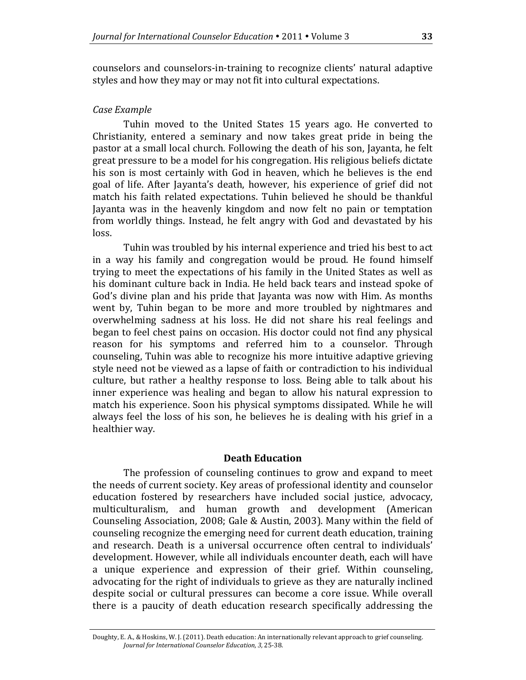counselors and counselors-in-training to recognize clients' natural adaptive styles and how they may or may not fit into cultural expectations.

## *Case Example*

Tuhin moved to the United States 15 years ago. He converted to Christianity, entered a seminary and now takes great pride in being the pastor at a small local church. Following the death of his son, Jayanta, he felt great pressure to be a model for his congregation. His religious beliefs dictate his son is most certainly with God in heaven, which he believes is the end goal of life. After Jayanta's death, however, his experience of grief did not match his faith related expectations. Tuhin believed he should be thankful Jayanta was in the heavenly kingdom and now felt no pain or temptation from worldly things. Instead, he felt angry with God and devastated by his loss.

Tuhin was troubled by his internal experience and tried his best to act in a way his family and congregation would be proud. He found himself trying to meet the expectations of his family in the United States as well as his dominant culture back in India. He held back tears and instead spoke of God's divine plan and his pride that Jayanta was now with Him. As months went by, Tuhin began to be more and more troubled by nightmares and overwhelming sadness at his loss. He did not share his real feelings and began to feel chest pains on occasion. His doctor could not find any physical reason for his symptoms and referred him to a counselor. Through counseling, Tuhin was able to recognize his more intuitive adaptive grieving style need not be viewed as a lapse of faith or contradiction to his individual culture, but rather a healthy response to loss. Being able to talk about his inner experience was healing and began to allow his natural expression to match his experience. Soon his physical symptoms dissipated. While he will always feel the loss of his son, he believes he is dealing with his grief in a healthier way.

## **Death Education**

The profession of counseling continues to grow and expand to meet the needs of current society. Key areas of professional identity and counselor education fostered by researchers have included social justice, advocacy, multiculturalism, and human growth and development (American Counseling Association, 2008; Gale & Austin, 2003). Many within the field of counseling recognize the emerging need for current death education, training and research. Death is a universal occurrence often central to individuals' development. However, while all individuals encounter death, each will have a unique experience and expression of their grief. Within counseling, advocating for the right of individuals to grieve as they are naturally inclined despite social or cultural pressures can become a core issue. While overall there is a paucity of death education research specifically addressing the

Doughty, E. A., & Hoskins, W. J. (2011). Death education: An internationally relevant approach to grief counseling. *Journal for International Counselor Education, 3,* 25-38.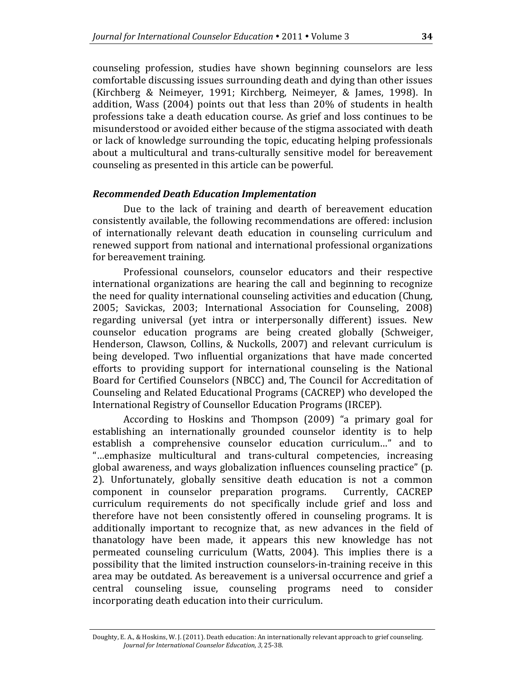counseling profession, studies have shown beginning counselors are less comfortable discussing issues surrounding death and dying than other issues (Kirchberg & Neimeyer, 1991; Kirchberg, Neimeyer, & James, 1998). In addition, Wass (2004) points out that less than 20% of students in health professions take a death education course. As grief and loss continues to be misunderstood or avoided either because of the stigma associated with death or lack of knowledge surrounding the topic, educating helping professionals about a multicultural and trans-culturally sensitive model for bereavement counseling as presented in this article can be powerful.

#### *Recommended Death Education Implementation*

Due to the lack of training and dearth of bereavement education consistently available, the following recommendations are offered: inclusion of internationally relevant death education in counseling curriculum and renewed support from national and international professional organizations for bereavement training.

Professional counselors, counselor educators and their respective international organizations are hearing the call and beginning to recognize the need for quality international counseling activities and education (Chung, 2005; Savickas, 2003; International Association for Counseling, 2008) regarding universal (yet intra or interpersonally different) issues. New counselor education programs are being created globally (Schweiger, Henderson, Clawson, Collins, & Nuckolls, 2007) and relevant curriculum is being developed. Two influential organizations that have made concerted efforts to providing support for international counseling is the National Board for Certified Counselors (NBCC) and, The Council for Accreditation of Counseling and Related Educational Programs (CACREP) who developed the International Registry of Counsellor Education Programs (IRCEP).

According to Hoskins and Thompson (2009) "a primary goal for establishing an internationally grounded counselor identity is to help establish a comprehensive counselor education curriculum…" and to "…emphasize multicultural and trans-cultural competencies, increasing global awareness, and ways globalization influences counseling practice" (p. 2). Unfortunately, globally sensitive death education is not a common component in counselor preparation programs. Currently, CACREP component in counselor preparation programs. curriculum requirements do not specifically include grief and loss and therefore have not been consistently offered in counseling programs. It is additionally important to recognize that, as new advances in the field of thanatology have been made, it appears this new knowledge has not permeated counseling curriculum (Watts, 2004). This implies there is a possibility that the limited instruction counselors-in-training receive in this area may be outdated. As bereavement is a universal occurrence and grief a central counseling issue, counseling programs need to consider incorporating death education into their curriculum.

Doughty, E. A., & Hoskins, W. J. (2011). Death education: An internationally relevant approach to grief counseling. *Journal for International Counselor Education, 3,* 25-38.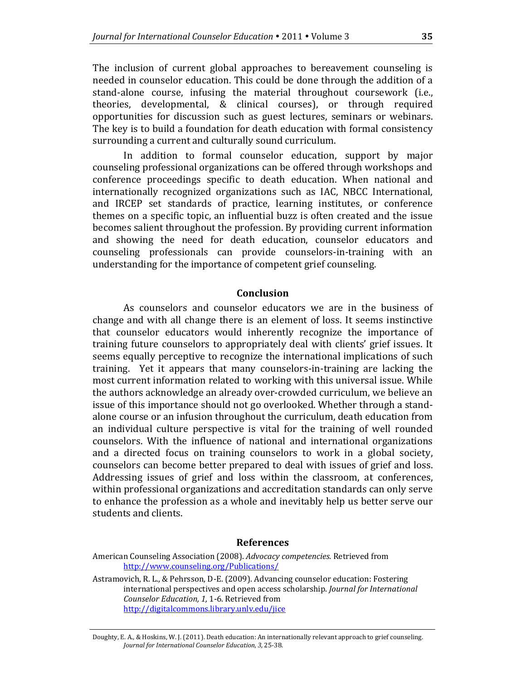The inclusion of current global approaches to bereavement counseling is needed in counselor education. This could be done through the addition of a stand-alone course, infusing the material throughout coursework (i.e., theories, developmental, & clinical courses), or through required opportunities for discussion such as guest lectures, seminars or webinars. The key is to build a foundation for death education with formal consistency surrounding a current and culturally sound curriculum.

In addition to formal counselor education, support by major counseling professional organizations can be offered through workshops and conference proceedings specific to death education. When national and internationally recognized organizations such as IAC, NBCC International, and IRCEP set standards of practice, learning institutes, or conference themes on a specific topic, an influential buzz is often created and the issue becomes salient throughout the profession. By providing current information and showing the need for death education, counselor educators and counseling professionals can provide counselors-in-training with an understanding for the importance of competent grief counseling.

#### **Conclusion**

As counselors and counselor educators we are in the business of change and with all change there is an element of loss. It seems instinctive that counselor educators would inherently recognize the importance of training future counselors to appropriately deal with clients' grief issues. It seems equally perceptive to recognize the international implications of such training. Yet it appears that many counselors-in-training are lacking the most current information related to working with this universal issue. While the authors acknowledge an already over-crowded curriculum, we believe an issue of this importance should not go overlooked. Whether through a standalone course or an infusion throughout the curriculum, death education from an individual culture perspective is vital for the training of well rounded counselors. With the influence of national and international organizations and a directed focus on training counselors to work in a global society, counselors can become better prepared to deal with issues of grief and loss. Addressing issues of grief and loss within the classroom, at conferences, within professional organizations and accreditation standards can only serve to enhance the profession as a whole and inevitably help us better serve our students and clients.

#### **References**

Astramovich, R. L., & Pehrsson, D-E. (2009). Advancing counselor education: Fostering international perspectives and open access scholarship. *Journal for International Counselor Education, 1,* 1-6. Retrieved from <http://digitalcommons.library.unlv.edu/jice>

American Counseling Association (2008). *Advocacy competencies.* Retrieved from <http://www.counseling.org/Publications/>

Doughty, E. A., & Hoskins, W. J. (2011). Death education: An internationally relevant approach to grief counseling. *Journal for International Counselor Education, 3,* 25-38.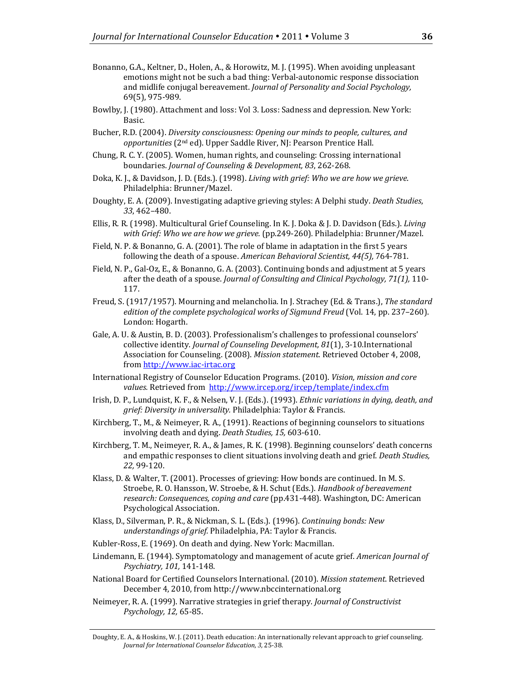- Bonanno, G.A., Keltner, D., Holen, A., & Horowitz, M. J. (1995). When avoiding unpleasant emotions might not be such a bad thing: Verbal-autonomic response dissociation and midlife conjugal bereavement. *Journal of Personality and Social Psychology,* 69(5), 975-989.
- Bowlby, J. (1980). Attachment and loss: Vol 3. Loss: Sadness and depression. New York: Basic.
- Bucher, R.D. (2004). *Diversity consciousness: Opening our minds to people, cultures, and opportunities* (2nd ed). Upper Saddle River, NJ: Pearson Prentice Hall.
- Chung, R. C. Y. (2005). Women, human rights, and counseling: Crossing international boundaries. *Journal of Counseling & Development, 83*, 262-268.
- Doka, K. J., & Davidson, J. D. (Eds.). (1998). *Living with grief: Who we are how we grieve*. Philadelphia: Brunner/Mazel.
- Doughty, E. A. (2009). Investigating adaptive grieving styles: A Delphi study. *Death Studies*, *33*, 462–480.
- Ellis, R. R. (1998). Multicultural Grief Counseling. In K. J. Doka & J. D. Davidson (Eds.). *Living with Grief: Who we are how we grieve.* (pp.249-260)*.* Philadelphia: Brunner/Mazel.
- Field, N. P. & Bonanno, G. A. (2001). The role of blame in adaptation in the first 5 years following the death of a spouse. *American Behavioral Scientist, 44(5),* 764-781.
- Field, N. P., Gal-Oz, E., & Bonanno, G. A. (2003). Continuing bonds and adjustment at 5 years after the death of a spouse. *Journal of Consulting and Clinical Psychology, 71(1),* 110- 117.
- Freud, S. (1917/1957). Mourning and melancholia. In J. Strachey (Ed. & Trans.), *The standard edition of the complete psychological works of Sigmund Freud* (Vol. 14, pp. 237–260). London: Hogarth.
- Gale, A. U. & Austin, B. D. (2003). Professionalism's challenges to professional counselors' collective identity. *Journal of Counseling Development, 81*(1), 3-10.International Association for Counseling. (2008). *Mission statement*. Retrieved October 4, 2008, from [http://www.iac-irtac.org](http://www.iac-irtac.org/)
- International Registry of Counselor Education Programs. (2010). *Vision, mission and core values.* Retrieved from<http://www.ircep.org/ircep/template/index.cfm>
- Irish, D. P., Lundquist, K. F., & Nelsen, V. J. (Eds.). (1993). *Ethnic variations in dying, death, and grief: Diversity in universality.* Philadelphia: Taylor & Francis.
- Kirchberg, T., M., & Neimeyer, R. A., (1991). Reactions of beginning counselors to situations involving death and dying. *Death Studies, 15,* 603-610.
- Kirchberg, T. M., Neimeyer, R. A., & James, R. K. (1998). Beginning counselors' death concerns and empathic responses to client situations involving death and grief. *Death Studies, 22,* 99-120.
- Klass, D. & Walter, T. (2001). Processes of grieving: How bonds are continued. In M. S. Stroebe, R. O. Hansson, W. Stroebe, & H. Schut (Eds.). *Handbook of bereavement research: Consequences, coping and care* (pp.431-448)*.* Washington, DC: American Psychological Association.
- Klass, D., Silverman, P. R., & Nickman, S. L. (Eds.). (1996). *Continuing bonds: New understandings of grief.* Philadelphia, PA: Taylor & Francis.
- Kubler-Ross, E. (1969). On death and dying. New York: Macmillan.
- Lindemann, E. (1944). Symptomatology and management of acute grief. *American Journal of Psychiatry, 101,* 141-148.
- National Board for Certified Counselors International. (2010). *Mission statement*. Retrieved December 4, 2010, from http://www.nbccinternational.org
- Neimeyer, R. A. (1999). Narrative strategies in grief therapy. *Journal of Constructivist Psychology, 12,* 65-85.

Doughty, E. A., & Hoskins, W. J. (2011). Death education: An internationally relevant approach to grief counseling. *Journal for International Counselor Education, 3,* 25-38.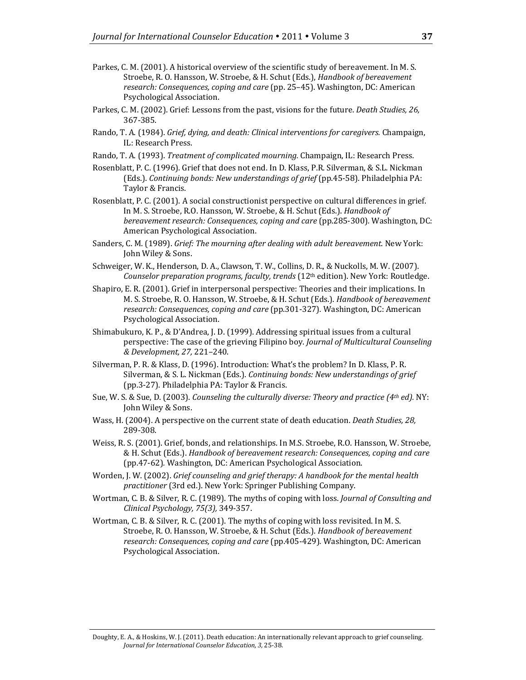- Parkes, C. M. (2001). A historical overview of the scientific study of bereavement. In M. S. Stroebe, R. O. Hansson, W. Stroebe, & H. Schut (Eds.), *Handbook of bereavement research: Consequences, coping and care* (pp. 25–45). Washington, DC: American Psychological Association.
- Parkes, C. M. (2002). Grief: Lessons from the past, visions for the future. *Death Studies, 26,*  367-385.
- Rando, T. A. (1984). *Grief, dying, and death: Clinical interventions for caregivers.* Champaign, IL: Research Press.
- Rando, T. A. (1993). *Treatment of complicated mourning.* Champaign, IL: Research Press.
- Rosenblatt, P. C. (1996). Grief that does not end. In D. Klass, P.R. Silverman, & S.L. Nickman (Eds.). *Continuing bonds: New understandings of grief* (pp.45-58). Philadelphia PA: Taylor & Francis.
- Rosenblatt, P. C. (2001). A social constructionist perspective on cultural differences in grief. In M. S. Stroebe, R.O. Hansson, W. Stroebe, & H. Schut (Eds.). *Handbook of bereavement research: Consequences, coping and care* (pp.285-300)*.* Washington, DC: American Psychological Association.
- Sanders, C. M. (1989). *Grief: The mourning after dealing with adult bereavement*. New York: John Wiley & Sons.
- Schweiger, W. K., Henderson, D. A., Clawson, T. W., Collins, D. R., & Nuckolls, M. W. (2007). *Counselor preparation programs, faculty, trends* (12<sup>th</sup> edition). New York: Routledge.
- Shapiro, E. R. (2001). Grief in interpersonal perspective: Theories and their implications. In M. S. Stroebe, R. O. Hansson, W. Stroebe, & H. Schut (Eds.). *Handbook of bereavement research: Consequences, coping and care* (pp.301-327)*.* Washington, DC: American Psychological Association.
- Shimabukuro, K. P., & D'Andrea, J. D. (1999). Addressing spiritual issues from a cultural perspective: The case of the grieving Filipino boy. *Journal of Multicultural Counseling & Development, 27,* 221–240.
- Silverman, P. R. & Klass, D. (1996). Introduction: What's the problem? In D. Klass, P. R. Silverman, & S. L. Nickman (Eds.). *Continuing bonds: New understandings of grief* (pp.3-27). Philadelphia PA: Taylor & Francis.
- Sue, W. S. & Sue, D. (2003). *Counseling the culturally diverse: Theory and practice (4th ed).* NY: John Wiley & Sons.
- Wass, H. (2004). A perspective on the current state of death education. *Death Studies, 28,* 289-308.
- Weiss, R. S. (2001). Grief, bonds, and relationships. In M.S. Stroebe, R.O. Hansson, W. Stroebe, & H. Schut (Eds.). *Handbook of bereavement research: Consequences, coping and care* (pp.47-62)*.* Washington, DC: American Psychological Association.
- Worden, J. W. (2002). *Grief counseling and grief therapy: A handbook for the mental health practitioner* (3rd ed.). New York: Springer Publishing Company.
- Wortman, C. B. & Silver, R. C. (1989). The myths of coping with loss. *Journal of Consulting and Clinical Psychology, 75(3),* 349-357.
- Wortman, C. B. & Silver, R. C. (2001). The myths of coping with loss revisited. In M. S. Stroebe, R. O. Hansson, W. Stroebe, & H. Schut (Eds.). *Handbook of bereavement research: Consequences, coping and care* (pp.405-429)*.* Washington, DC: American Psychological Association.